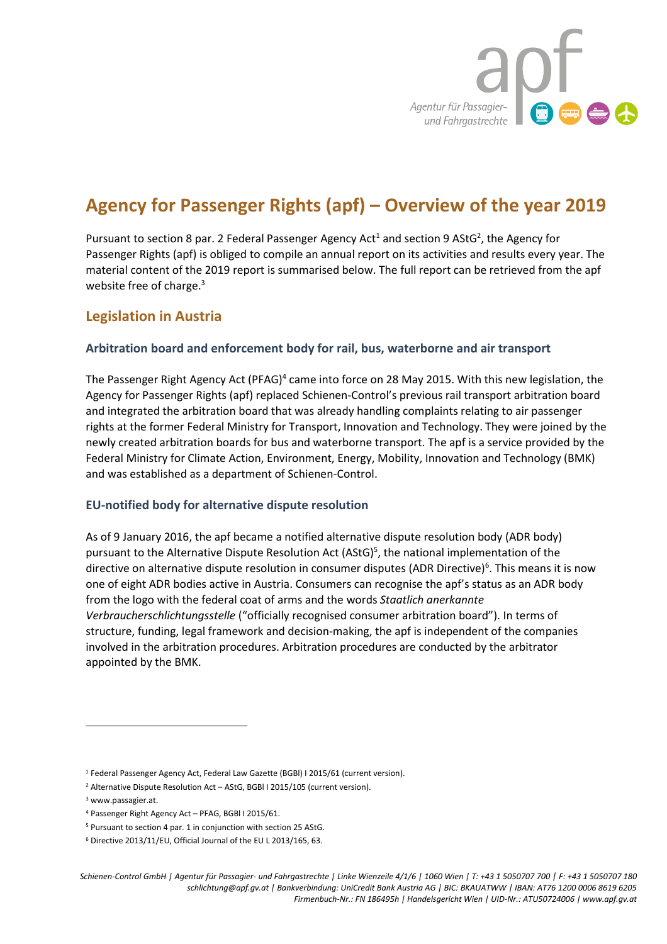

# **Agency for Passenger Rights (apf) – Overview of the year 2019**

Pursuant to section 8 par. 2 Federal Passenger Agency Act<sup>1</sup> and section 9 AStG<sup>2</sup>, the Agency for Passenger Rights (apf) is obliged to compile an annual report on its activities and results every year. The material content of the 2019 report is summarised below. The full report can be retrieved from the apf website free of charge.<sup>3</sup>

# **Legislation in Austria**

#### **Arbitration board and enforcement body for rail, bus, waterborne and air transport**

The Passenger Right Agency Act (PFAG)<sup>4</sup> came into force on 28 May 2015. With this new legislation, the Agency for Passenger Rights (apf) replaced Schienen-Control's previous rail transport arbitration board and integrated the arbitration board that was already handling complaints relating to air passenger rights at the former Federal Ministry for Transport, Innovation and Technology. They were joined by the newly created arbitration boards for bus and waterborne transport. The apf is a service provided by the Federal Ministry for Climate Action, Environment, Energy, Mobility, Innovation and Technology (BMK) and was established as a department of Schienen-Control.

#### **EU-notified body for alternative dispute resolution**

As of 9 January 2016, the apf became a notified alternative dispute resolution body (ADR body) pursuant to the Alternative Dispute Resolution Act (AStG)<sup>5</sup>, the national implementation of the directive on alternative dispute resolution in consumer disputes (ADR Directive)<sup>6</sup>. This means it is now one of eight ADR bodies active in Austria. Consumers can recognise the apf's status as an ADR body from the logo with the federal coat of arms and the words *Staatlich anerkannte Verbraucherschlichtungsstelle* ("officially recognised consumer arbitration board"). In terms of structure, funding, legal framework and decision-making, the apf is independent of the companies involved in the arbitration procedures. Arbitration procedures are conducted by the arbitrator appointed by the BMK.

 $\overline{a}$ 

<sup>&</sup>lt;sup>1</sup> Federal Passenger Agency Act, Federal Law Gazette (BGBI) I 2015/61 (current version).

<sup>&</sup>lt;sup>2</sup> Alternative Dispute Resolution Act – AStG, BGBI I 2015/105 (current version).

<sup>3</sup> www.passagier.at.

<sup>4</sup> Passenger Right Agency Act – PFAG, BGBl I 2015/61.

<sup>5</sup> Pursuant to section 4 par. 1 in conjunction with section 25 AStG.

<sup>6</sup> Directive 2013/11/EU, Official Journal of the EU L 2013/165, 63.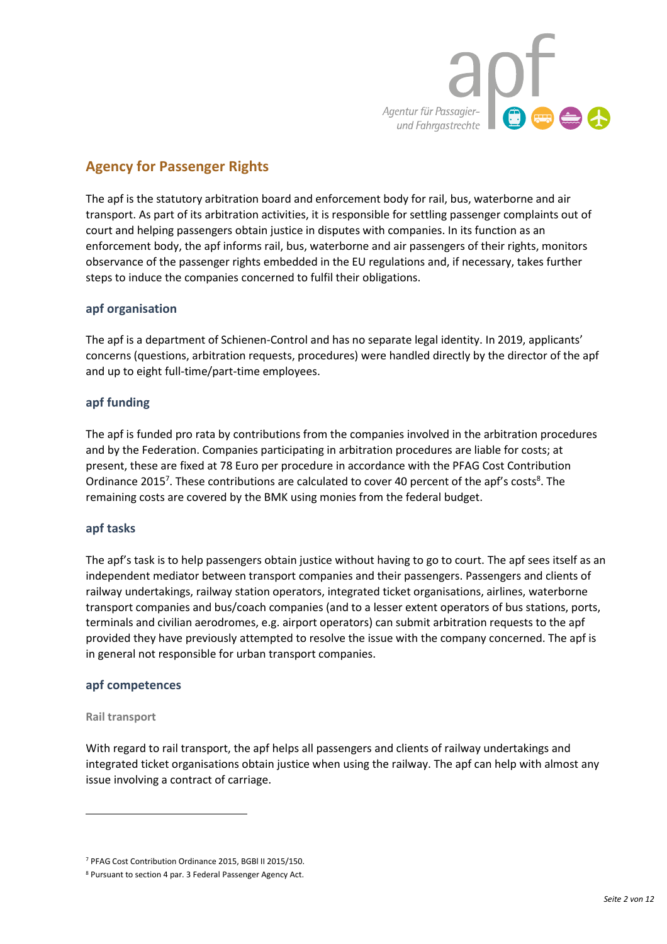

# **Agency for Passenger Rights**

The apf is the statutory arbitration board and enforcement body for rail, bus, waterborne and air transport. As part of its arbitration activities, it is responsible for settling passenger complaints out of court and helping passengers obtain justice in disputes with companies. In its function as an enforcement body, the apf informs rail, bus, waterborne and air passengers of their rights, monitors observance of the passenger rights embedded in the EU regulations and, if necessary, takes further steps to induce the companies concerned to fulfil their obligations.

#### **apf organisation**

The apf is a department of Schienen-Control and has no separate legal identity. In 2019, applicants' concerns (questions, arbitration requests, procedures) were handled directly by the director of the apf and up to eight full-time/part-time employees.

#### **apf funding**

The apf is funded pro rata by contributions from the companies involved in the arbitration procedures and by the Federation. Companies participating in arbitration procedures are liable for costs; at present, these are fixed at 78 Euro per procedure in accordance with the PFAG Cost Contribution Ordinance 2015<sup>7</sup>. These contributions are calculated to cover 40 percent of the apf's costs<sup>8</sup>. The remaining costs are covered by the BMK using monies from the federal budget.

#### **apf tasks**

The apf's task is to help passengers obtain justice without having to go to court. The apf sees itself as an independent mediator between transport companies and their passengers. Passengers and clients of railway undertakings, railway station operators, integrated ticket organisations, airlines, waterborne transport companies and bus/coach companies (and to a lesser extent operators of bus stations, ports, terminals and civilian aerodromes, e.g. airport operators) can submit arbitration requests to the apf provided they have previously attempted to resolve the issue with the company concerned. The apf is in general not responsible for urban transport companies.

#### **apf competences**

#### **Rail transport**

 $\overline{a}$ 

With regard to rail transport, the apf helps all passengers and clients of railway undertakings and integrated ticket organisations obtain justice when using the railway. The apf can help with almost any issue involving a contract of carriage.

<sup>7</sup> PFAG Cost Contribution Ordinance 2015, BGBl II 2015/150.

<sup>8</sup> Pursuant to section 4 par. 3 Federal Passenger Agency Act.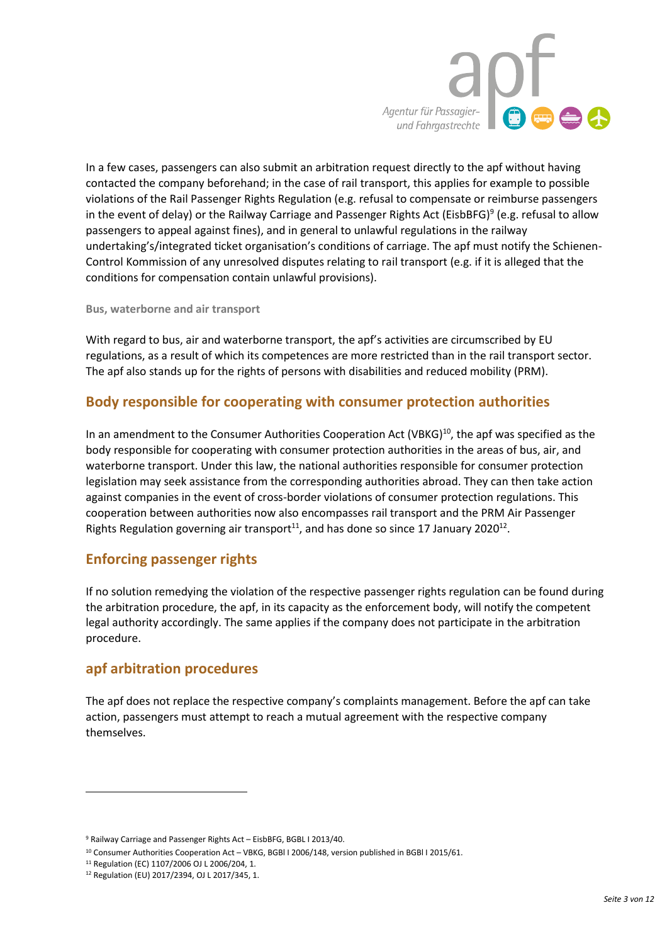

In a few cases, passengers can also submit an arbitration request directly to the apf without having contacted the company beforehand; in the case of rail transport, this applies for example to possible violations of the Rail Passenger Rights Regulation (e.g. refusal to compensate or reimburse passengers in the event of delay) or the Railway Carriage and Passenger Rights Act (EisbBFG)<sup>9</sup> (e.g. refusal to allow passengers to appeal against fines), and in general to unlawful regulations in the railway undertaking's/integrated ticket organisation's conditions of carriage. The apf must notify the Schienen-Control Kommission of any unresolved disputes relating to rail transport (e.g. if it is alleged that the conditions for compensation contain unlawful provisions).

**Bus, waterborne and air transport** 

With regard to bus, air and waterborne transport, the apf's activities are circumscribed by EU regulations, as a result of which its competences are more restricted than in the rail transport sector. The apf also stands up for the rights of persons with disabilities and reduced mobility (PRM).

# **Body responsible for cooperating with consumer protection authorities**

In an amendment to the Consumer Authorities Cooperation Act (VBKG) $10$ , the apf was specified as the body responsible for cooperating with consumer protection authorities in the areas of bus, air, and waterborne transport. Under this law, the national authorities responsible for consumer protection legislation may seek assistance from the corresponding authorities abroad. They can then take action against companies in the event of cross-border violations of consumer protection regulations. This cooperation between authorities now also encompasses rail transport and the PRM Air Passenger Rights Regulation governing air transport<sup>11</sup>, and has done so since 17 January 2020<sup>12</sup>.

# **Enforcing passenger rights**

If no solution remedying the violation of the respective passenger rights regulation can be found during the arbitration procedure, the apf, in its capacity as the enforcement body, will notify the competent legal authority accordingly. The same applies if the company does not participate in the arbitration procedure.

# **apf arbitration procedures**

The apf does not replace the respective company's complaints management. Before the apf can take action, passengers must attempt to reach a mutual agreement with the respective company themselves.

 $\overline{a}$ 

<sup>9</sup> Railway Carriage and Passenger Rights Act – EisbBFG, BGBL I 2013/40.

<sup>10</sup> Consumer Authorities Cooperation Act – VBKG, BGBl I 2006/148, version published in BGBl I 2015/61.

<sup>11</sup> Regulation (EC) 1107/2006 OJ L 2006/204, 1.

<sup>12</sup> Regulation (EU) 2017/2394, OJ L 2017/345, 1.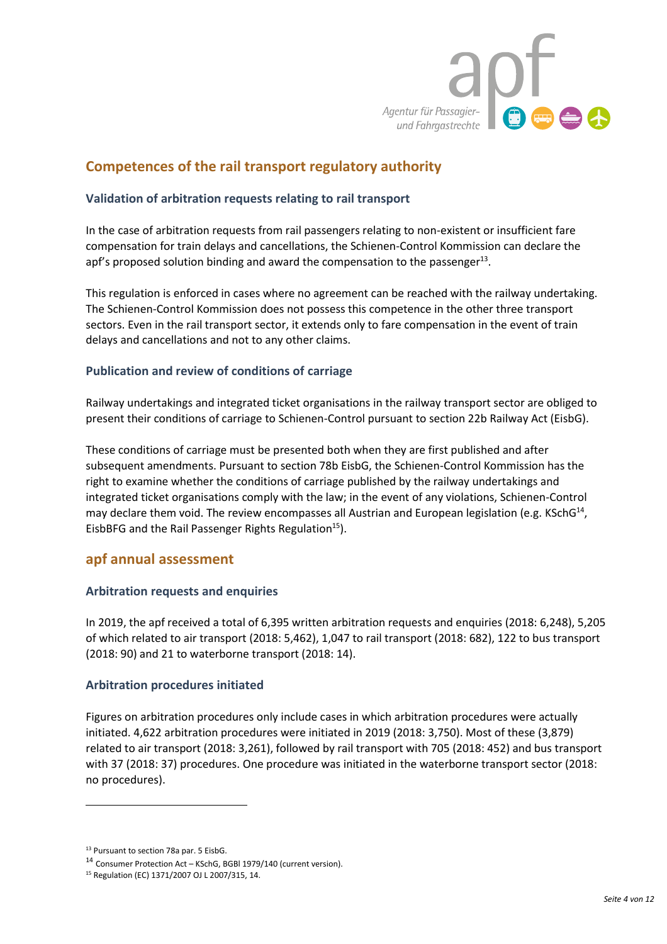

# **Competences of the rail transport regulatory authority**

#### **Validation of arbitration requests relating to rail transport**

In the case of arbitration requests from rail passengers relating to non-existent or insufficient fare compensation for train delays and cancellations, the Schienen-Control Kommission can declare the apf's proposed solution binding and award the compensation to the passenger $^{13}$ .

This regulation is enforced in cases where no agreement can be reached with the railway undertaking. The Schienen-Control Kommission does not possess this competence in the other three transport sectors. Even in the rail transport sector, it extends only to fare compensation in the event of train delays and cancellations and not to any other claims.

#### **Publication and review of conditions of carriage**

Railway undertakings and integrated ticket organisations in the railway transport sector are obliged to present their conditions of carriage to Schienen-Control pursuant to section 22b Railway Act (EisbG).

These conditions of carriage must be presented both when they are first published and after subsequent amendments. Pursuant to section 78b EisbG, the Schienen-Control Kommission has the right to examine whether the conditions of carriage published by the railway undertakings and integrated ticket organisations comply with the law; in the event of any violations, Schienen-Control may declare them void. The review encompasses all Austrian and European legislation (e.g. KSchG<sup>14</sup>, EisbBFG and the Rail Passenger Rights Regulation<sup>15</sup>).

#### **apf annual assessment**

#### **Arbitration requests and enquiries**

In 2019, the apf received a total of 6,395 written arbitration requests and enquiries (2018: 6,248), 5,205 of which related to air transport (2018: 5,462), 1,047 to rail transport (2018: 682), 122 to bus transport (2018: 90) and 21 to waterborne transport (2018: 14).

#### **Arbitration procedures initiated**

Figures on arbitration procedures only include cases in which arbitration procedures were actually initiated. 4,622 arbitration procedures were initiated in 2019 (2018: 3,750). Most of these (3,879) related to air transport (2018: 3,261), followed by rail transport with 705 (2018: 452) and bus transport with 37 (2018: 37) procedures. One procedure was initiated in the waterborne transport sector (2018: no procedures).

 $\overline{a}$ 

<sup>13</sup> Pursuant to section 78a par. 5 EisbG.

<sup>14</sup> Consumer Protection Act – KSchG, BGBl 1979/140 (current version).

<sup>15</sup> Regulation (EC) 1371/2007 OJ L 2007/315, 14.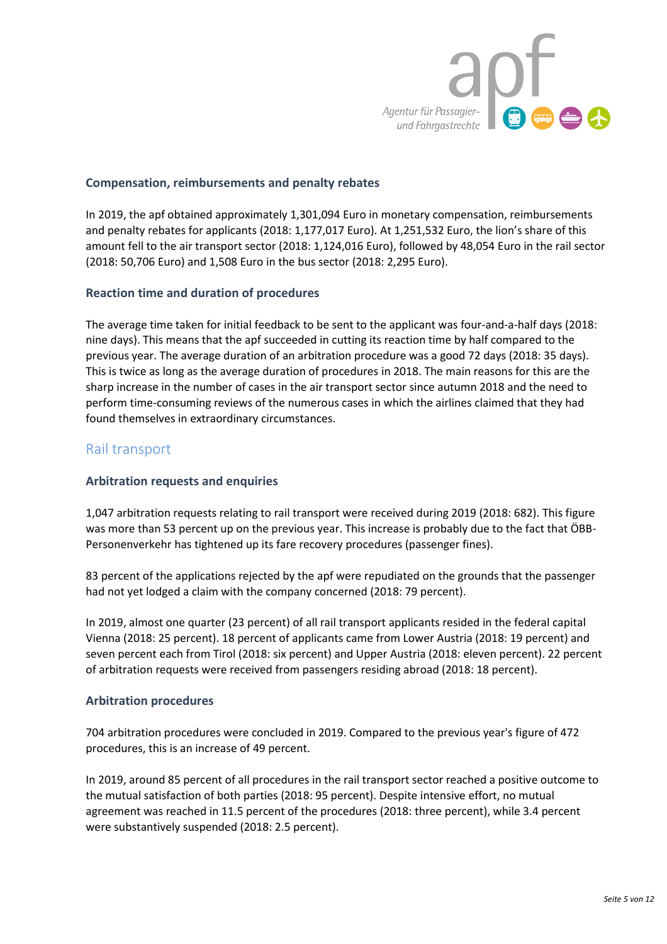

#### **Compensation, reimbursements and penalty rebates**

In 2019, the apf obtained approximately 1,301,094 Euro in monetary compensation, reimbursements and penalty rebates for applicants (2018: 1,177,017 Euro). At 1,251,532 Euro, the lion's share of this amount fell to the air transport sector (2018: 1,124,016 Euro), followed by 48,054 Euro in the rail sector (2018: 50,706 Euro) and 1,508 Euro in the bus sector (2018: 2,295 Euro).

#### **Reaction time and duration of procedures**

The average time taken for initial feedback to be sent to the applicant was four-and-a-half days (2018: nine days). This means that the apf succeeded in cutting its reaction time by half compared to the previous year. The average duration of an arbitration procedure was a good 72 days (2018: 35 days). This is twice as long as the average duration of procedures in 2018. The main reasons for this are the sharp increase in the number of cases in the air transport sector since autumn 2018 and the need to perform time-consuming reviews of the numerous cases in which the airlines claimed that they had found themselves in extraordinary circumstances.

#### Rail transport

#### **Arbitration requests and enquiries**

1,047 arbitration requests relating to rail transport were received during 2019 (2018: 682). This figure was more than 53 percent up on the previous year. This increase is probably due to the fact that ÖBB-Personenverkehr has tightened up its fare recovery procedures (passenger fines).

83 percent of the applications rejected by the apf were repudiated on the grounds that the passenger had not yet lodged a claim with the company concerned (2018: 79 percent).

In 2019, almost one quarter (23 percent) of all rail transport applicants resided in the federal capital Vienna (2018: 25 percent). 18 percent of applicants came from Lower Austria (2018: 19 percent) and seven percent each from Tirol (2018: six percent) and Upper Austria (2018: eleven percent). 22 percent of arbitration requests were received from passengers residing abroad (2018: 18 percent).

#### **Arbitration procedures**

704 arbitration procedures were concluded in 2019. Compared to the previous year's figure of 472 procedures, this is an increase of 49 percent.

In 2019, around 85 percent of all procedures in the rail transport sector reached a positive outcome to the mutual satisfaction of both parties (2018: 95 percent). Despite intensive effort, no mutual agreement was reached in 11.5 percent of the procedures (2018: three percent), while 3.4 percent were substantively suspended (2018: 2.5 percent).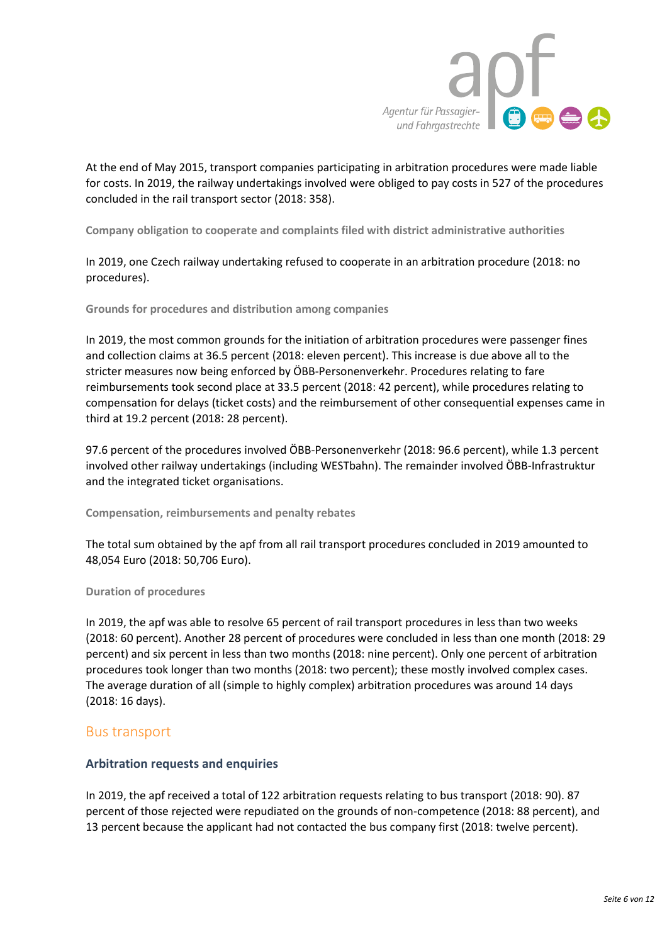

At the end of May 2015, transport companies participating in arbitration procedures were made liable for costs. In 2019, the railway undertakings involved were obliged to pay costs in 527 of the procedures concluded in the rail transport sector (2018: 358).

**Company obligation to cooperate and complaints filed with district administrative authorities**

In 2019, one Czech railway undertaking refused to cooperate in an arbitration procedure (2018: no procedures).

**Grounds for procedures and distribution among companies**

In 2019, the most common grounds for the initiation of arbitration procedures were passenger fines and collection claims at 36.5 percent (2018: eleven percent). This increase is due above all to the stricter measures now being enforced by ÖBB-Personenverkehr. Procedures relating to fare reimbursements took second place at 33.5 percent (2018: 42 percent), while procedures relating to compensation for delays (ticket costs) and the reimbursement of other consequential expenses came in third at 19.2 percent (2018: 28 percent).

97.6 percent of the procedures involved ÖBB-Personenverkehr (2018: 96.6 percent), while 1.3 percent involved other railway undertakings (including WESTbahn). The remainder involved ÖBB-Infrastruktur and the integrated ticket organisations.

**Compensation, reimbursements and penalty rebates**

The total sum obtained by the apf from all rail transport procedures concluded in 2019 amounted to 48,054 Euro (2018: 50,706 Euro).

#### **Duration of procedures**

In 2019, the apf was able to resolve 65 percent of rail transport procedures in less than two weeks (2018: 60 percent). Another 28 percent of procedures were concluded in less than one month (2018: 29 percent) and six percent in less than two months (2018: nine percent). Only one percent of arbitration procedures took longer than two months (2018: two percent); these mostly involved complex cases. The average duration of all (simple to highly complex) arbitration procedures was around 14 days (2018: 16 days).

#### Bus transport

#### **Arbitration requests and enquiries**

In 2019, the apf received a total of 122 arbitration requests relating to bus transport (2018: 90). 87 percent of those rejected were repudiated on the grounds of non-competence (2018: 88 percent), and 13 percent because the applicant had not contacted the bus company first (2018: twelve percent).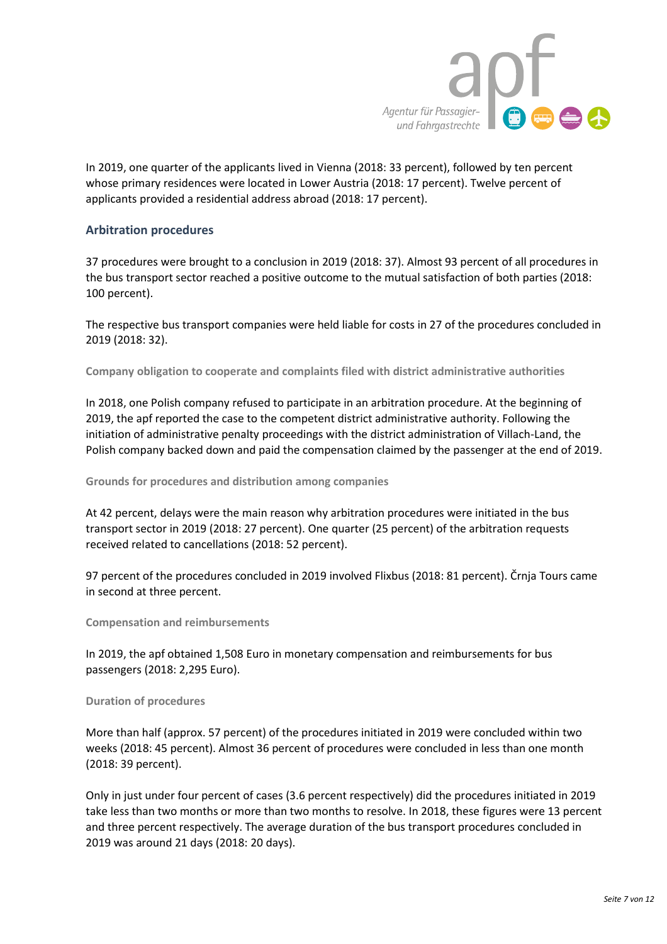

In 2019, one quarter of the applicants lived in Vienna (2018: 33 percent), followed by ten percent whose primary residences were located in Lower Austria (2018: 17 percent). Twelve percent of applicants provided a residential address abroad (2018: 17 percent).

#### **Arbitration procedures**

37 procedures were brought to a conclusion in 2019 (2018: 37). Almost 93 percent of all procedures in the bus transport sector reached a positive outcome to the mutual satisfaction of both parties (2018: 100 percent).

The respective bus transport companies were held liable for costs in 27 of the procedures concluded in 2019 (2018: 32).

**Company obligation to cooperate and complaints filed with district administrative authorities**

In 2018, one Polish company refused to participate in an arbitration procedure. At the beginning of 2019, the apf reported the case to the competent district administrative authority. Following the initiation of administrative penalty proceedings with the district administration of Villach-Land, the Polish company backed down and paid the compensation claimed by the passenger at the end of 2019.

**Grounds for procedures and distribution among companies** 

At 42 percent, delays were the main reason why arbitration procedures were initiated in the bus transport sector in 2019 (2018: 27 percent). One quarter (25 percent) of the arbitration requests received related to cancellations (2018: 52 percent).

97 percent of the procedures concluded in 2019 involved Flixbus (2018: 81 percent). Črnja Tours came in second at three percent.

**Compensation and reimbursements**

In 2019, the apf obtained 1,508 Euro in monetary compensation and reimbursements for bus passengers (2018: 2,295 Euro).

**Duration of procedures**

More than half (approx. 57 percent) of the procedures initiated in 2019 were concluded within two weeks (2018: 45 percent). Almost 36 percent of procedures were concluded in less than one month (2018: 39 percent).

Only in just under four percent of cases (3.6 percent respectively) did the procedures initiated in 2019 take less than two months or more than two months to resolve. In 2018, these figures were 13 percent and three percent respectively. The average duration of the bus transport procedures concluded in 2019 was around 21 days (2018: 20 days).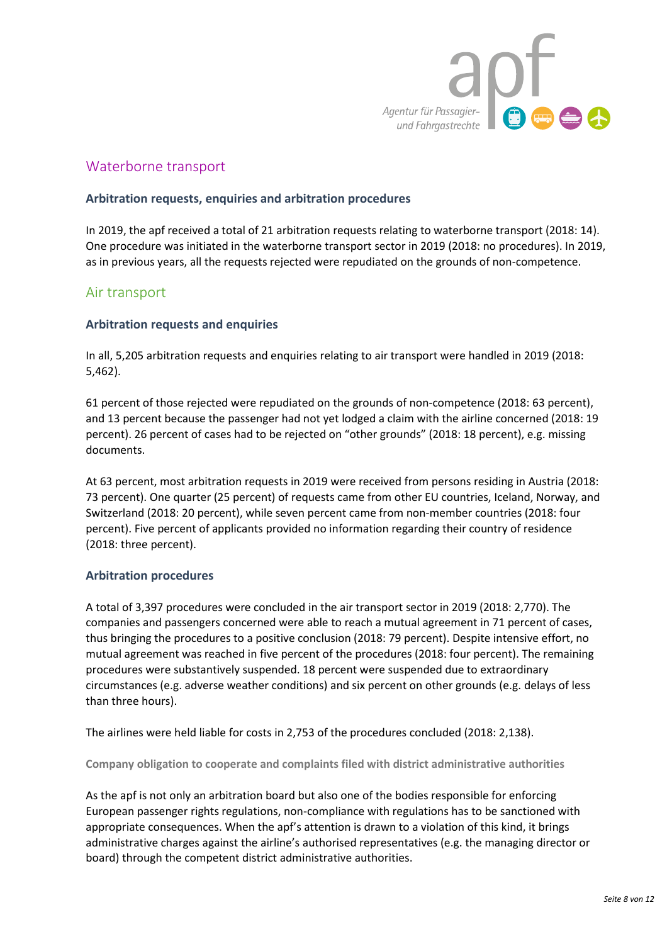

# Waterborne transport

#### **Arbitration requests, enquiries and arbitration procedures**

In 2019, the apf received a total of 21 arbitration requests relating to waterborne transport (2018: 14). One procedure was initiated in the waterborne transport sector in 2019 (2018: no procedures). In 2019, as in previous years, all the requests rejected were repudiated on the grounds of non-competence.

### Air transport

#### **Arbitration requests and enquiries**

In all, 5,205 arbitration requests and enquiries relating to air transport were handled in 2019 (2018: 5,462).

61 percent of those rejected were repudiated on the grounds of non-competence (2018: 63 percent), and 13 percent because the passenger had not yet lodged a claim with the airline concerned (2018: 19 percent). 26 percent of cases had to be rejected on "other grounds" (2018: 18 percent), e.g. missing documents.

At 63 percent, most arbitration requests in 2019 were received from persons residing in Austria (2018: 73 percent). One quarter (25 percent) of requests came from other EU countries, Iceland, Norway, and Switzerland (2018: 20 percent), while seven percent came from non-member countries (2018: four percent). Five percent of applicants provided no information regarding their country of residence (2018: three percent).

#### **Arbitration procedures**

A total of 3,397 procedures were concluded in the air transport sector in 2019 (2018: 2,770). The companies and passengers concerned were able to reach a mutual agreement in 71 percent of cases, thus bringing the procedures to a positive conclusion (2018: 79 percent). Despite intensive effort, no mutual agreement was reached in five percent of the procedures (2018: four percent). The remaining procedures were substantively suspended. 18 percent were suspended due to extraordinary circumstances (e.g. adverse weather conditions) and six percent on other grounds (e.g. delays of less than three hours).

The airlines were held liable for costs in 2,753 of the procedures concluded (2018: 2,138).

**Company obligation to cooperate and complaints filed with district administrative authorities**

As the apf is not only an arbitration board but also one of the bodies responsible for enforcing European passenger rights regulations, non-compliance with regulations has to be sanctioned with appropriate consequences. When the apf's attention is drawn to a violation of this kind, it brings administrative charges against the airline's authorised representatives (e.g. the managing director or board) through the competent district administrative authorities.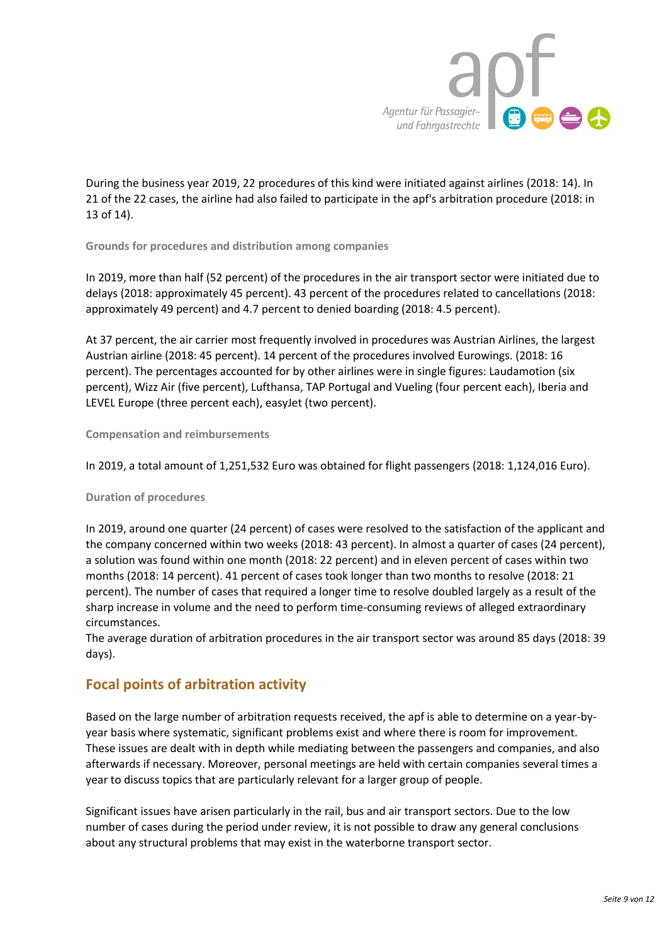

During the business year 2019, 22 procedures of this kind were initiated against airlines (2018: 14). In 21 of the 22 cases, the airline had also failed to participate in the apf's arbitration procedure (2018: in 13 of 14).

**Grounds for procedures and distribution among companies**

In 2019, more than half (52 percent) of the procedures in the air transport sector were initiated due to delays (2018: approximately 45 percent). 43 percent of the procedures related to cancellations (2018: approximately 49 percent) and 4.7 percent to denied boarding (2018: 4.5 percent).

At 37 percent, the air carrier most frequently involved in procedures was Austrian Airlines, the largest Austrian airline (2018: 45 percent). 14 percent of the procedures involved Eurowings. (2018: 16 percent). The percentages accounted for by other airlines were in single figures: Laudamotion (six percent), Wizz Air (five percent), Lufthansa, TAP Portugal and Vueling (four percent each), Iberia and LEVEL Europe (three percent each), easyJet (two percent).

#### **Compensation and reimbursements**

In 2019, a total amount of 1,251,532 Euro was obtained for flight passengers (2018: 1,124,016 Euro).

#### **Duration of procedures**

In 2019, around one quarter (24 percent) of cases were resolved to the satisfaction of the applicant and the company concerned within two weeks (2018: 43 percent). In almost a quarter of cases (24 percent), a solution was found within one month (2018: 22 percent) and in eleven percent of cases within two months (2018: 14 percent). 41 percent of cases took longer than two months to resolve (2018: 21 percent). The number of cases that required a longer time to resolve doubled largely as a result of the sharp increase in volume and the need to perform time-consuming reviews of alleged extraordinary circumstances.

The average duration of arbitration procedures in the air transport sector was around 85 days (2018: 39 days).

# **Focal points of arbitration activity**

Based on the large number of arbitration requests received, the apf is able to determine on a year-byyear basis where systematic, significant problems exist and where there is room for improvement. These issues are dealt with in depth while mediating between the passengers and companies, and also afterwards if necessary. Moreover, personal meetings are held with certain companies several times a year to discuss topics that are particularly relevant for a larger group of people.

Significant issues have arisen particularly in the rail, bus and air transport sectors. Due to the low number of cases during the period under review, it is not possible to draw any general conclusions about any structural problems that may exist in the waterborne transport sector.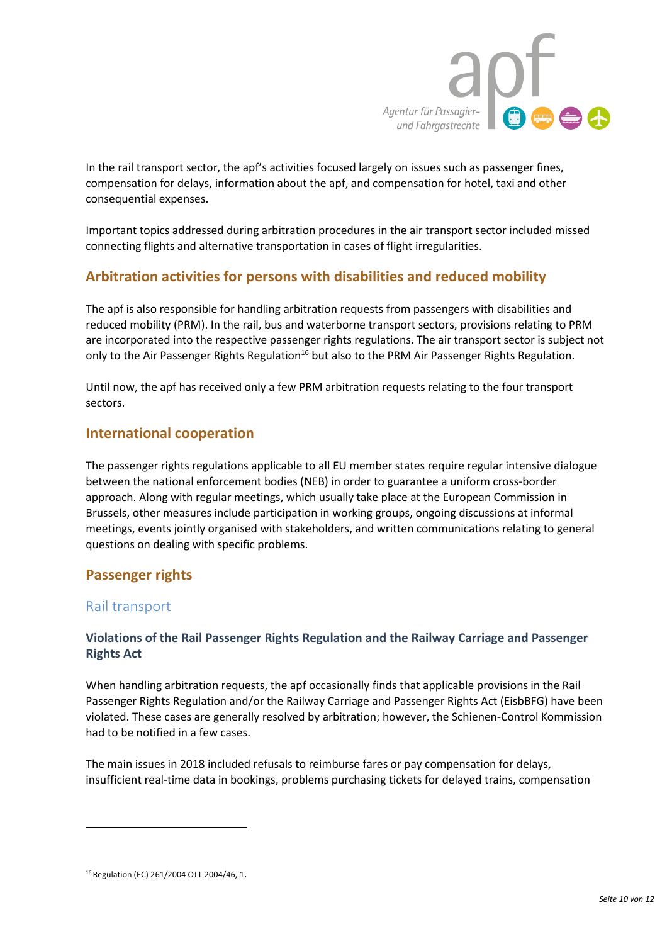

In the rail transport sector, the apf's activities focused largely on issues such as passenger fines, compensation for delays, information about the apf, and compensation for hotel, taxi and other consequential expenses.

Important topics addressed during arbitration procedures in the air transport sector included missed connecting flights and alternative transportation in cases of flight irregularities.

# **Arbitration activities for persons with disabilities and reduced mobility**

The apf is also responsible for handling arbitration requests from passengers with disabilities and reduced mobility (PRM). In the rail, bus and waterborne transport sectors, provisions relating to PRM are incorporated into the respective passenger rights regulations. The air transport sector is subject not only to the Air Passenger Rights Regulation<sup>16</sup> but also to the PRM Air Passenger Rights Regulation.

Until now, the apf has received only a few PRM arbitration requests relating to the four transport sectors.

# **International cooperation**

The passenger rights regulations applicable to all EU member states require regular intensive dialogue between the national enforcement bodies (NEB) in order to guarantee a uniform cross-border approach. Along with regular meetings, which usually take place at the European Commission in Brussels, other measures include participation in working groups, ongoing discussions at informal meetings, events jointly organised with stakeholders, and written communications relating to general questions on dealing with specific problems.

# **Passenger rights**

# Rail transport

 $\overline{\phantom{a}}$ 

### **Violations of the Rail Passenger Rights Regulation and the Railway Carriage and Passenger Rights Act**

When handling arbitration requests, the apf occasionally finds that applicable provisions in the Rail Passenger Rights Regulation and/or the Railway Carriage and Passenger Rights Act (EisbBFG) have been violated. These cases are generally resolved by arbitration; however, the Schienen-Control Kommission had to be notified in a few cases.

The main issues in 2018 included refusals to reimburse fares or pay compensation for delays, insufficient real-time data in bookings, problems purchasing tickets for delayed trains, compensation

<sup>16</sup> Regulation (EC) 261/2004 OJ L 2004/46, 1.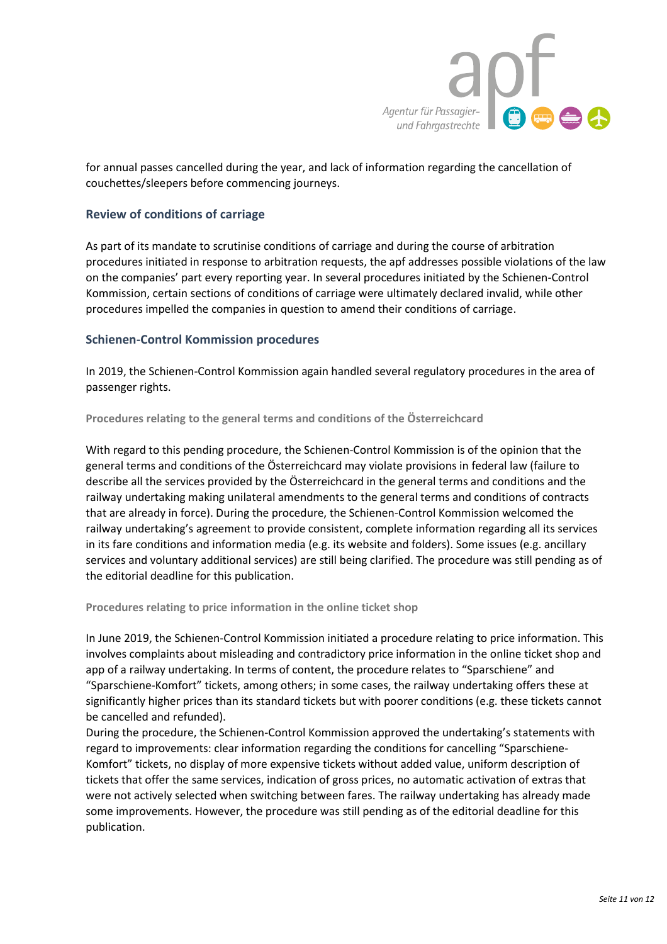

for annual passes cancelled during the year, and lack of information regarding the cancellation of couchettes/sleepers before commencing journeys.

#### **Review of conditions of carriage**

As part of its mandate to scrutinise conditions of carriage and during the course of arbitration procedures initiated in response to arbitration requests, the apf addresses possible violations of the law on the companies' part every reporting year. In several procedures initiated by the Schienen-Control Kommission, certain sections of conditions of carriage were ultimately declared invalid, while other procedures impelled the companies in question to amend their conditions of carriage.

#### **Schienen-Control Kommission procedures**

In 2019, the Schienen-Control Kommission again handled several regulatory procedures in the area of passenger rights.

**Procedures relating to the general terms and conditions of the Österreichcard** 

With regard to this pending procedure, the Schienen-Control Kommission is of the opinion that the general terms and conditions of the Österreichcard may violate provisions in federal law (failure to describe all the services provided by the Österreichcard in the general terms and conditions and the railway undertaking making unilateral amendments to the general terms and conditions of contracts that are already in force). During the procedure, the Schienen-Control Kommission welcomed the railway undertaking's agreement to provide consistent, complete information regarding all its services in its fare conditions and information media (e.g. its website and folders). Some issues (e.g. ancillary services and voluntary additional services) are still being clarified. The procedure was still pending as of the editorial deadline for this publication.

**Procedures relating to price information in the online ticket shop**

In June 2019, the Schienen-Control Kommission initiated a procedure relating to price information. This involves complaints about misleading and contradictory price information in the online ticket shop and app of a railway undertaking. In terms of content, the procedure relates to "Sparschiene" and "Sparschiene-Komfort" tickets, among others; in some cases, the railway undertaking offers these at significantly higher prices than its standard tickets but with poorer conditions (e.g. these tickets cannot be cancelled and refunded).

During the procedure, the Schienen-Control Kommission approved the undertaking's statements with regard to improvements: clear information regarding the conditions for cancelling "Sparschiene-Komfort" tickets, no display of more expensive tickets without added value, uniform description of tickets that offer the same services, indication of gross prices, no automatic activation of extras that were not actively selected when switching between fares. The railway undertaking has already made some improvements. However, the procedure was still pending as of the editorial deadline for this publication.